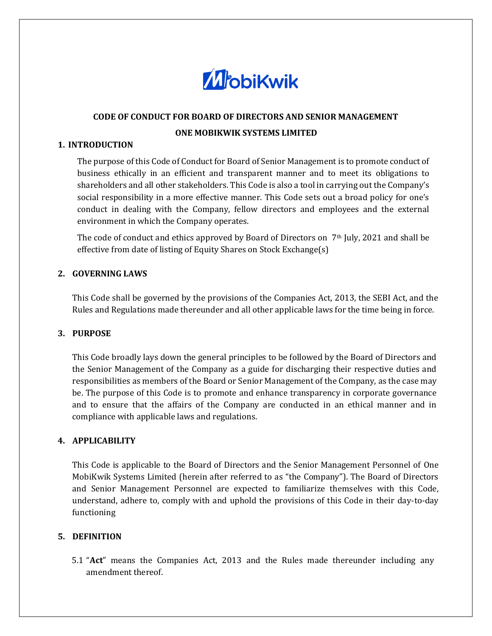

# **CODE OF CONDUCT FOR BOARD OF DIRECTORS AND SENIOR MANAGEMENT ONE MOBIKWIK SYSTEMS LIMITED**

#### **1. INTRODUCTION**

The purpose of this Code of Conduct for Board of Senior Management is to promote conduct of business ethically in an efficient and transparent manner and to meet its obligations to shareholders and all other stakeholders. This Code is also a tool in carrying out the Company's social responsibility in a more effective manner. This Code sets out a broad policy for one's conduct in dealing with the Company, fellow directors and employees and the external environment in which the Company operates.

The code of conduct and ethics approved by Board of Directors on 7th July, 2021 and shall be effective from date of listing of Equity Shares on Stock Exchange(s)

## **2. GOVERNING LAWS**

This Code shall be governed by the provisions of the Companies Act, 2013, the SEBI Act, and the Rules and Regulations made thereunder and all other applicable laws for the time being in force.

## **3. PURPOSE**

This Code broadly lays down the general principles to be followed by the Board of Directors and the Senior Management of the Company as a guide for discharging their respective duties and responsibilities as members of the Board or Senior Management of the Company, as the case may be. The purpose of this Code is to promote and enhance transparency in corporate governance and to ensure that the affairs of the Company are conducted in an ethical manner and in compliance with applicable laws and regulations.

#### **4. APPLICABILITY**

This Code is applicable to the Board of Directors and the Senior Management Personnel of One MobiKwik Systems Limited (herein after referred to as "the Company"). The Board of Directors and Senior Management Personnel are expected to familiarize themselves with this Code, understand, adhere to, comply with and uphold the provisions of this Code in their day-to-day functioning

## **5. DEFINITION**

5.1 "**Act**" means the Companies Act, 2013 and the Rules made thereunder including any amendment thereof.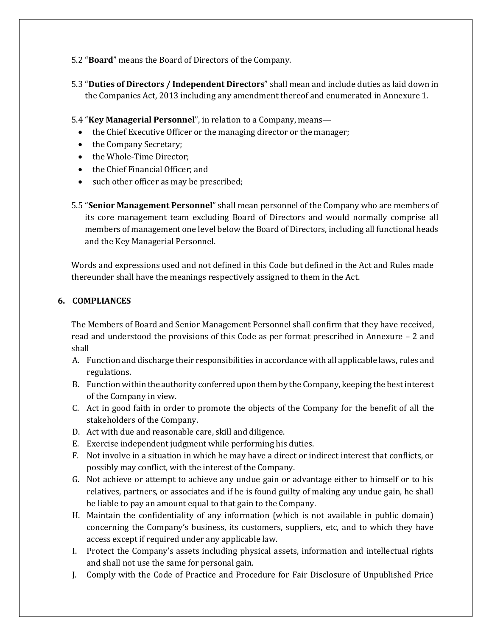- 5.2 "**Board**" means the Board of Directors of the Company.
- 5.3 "**Duties of Directors / Independent Directors**" shall mean and include duties as laid down in the Companies Act, 2013 including any amendment thereof and enumerated in Annexure 1.
- 5.4 "**Key Managerial Personnel**", in relation to a Company, means—
	- the Chief Executive Officer or the managing director or the manager;
	- the Company Secretary;
	- the Whole-Time Director;
	- the Chief Financial Officer; and
	- such other officer as may be prescribed;
- 5.5 "**Senior Management Personnel**" shall mean personnel of the Company who are members of its core management team excluding Board of Directors and would normally comprise all members of management one level below the Board of Directors, including all functional heads and the Key Managerial Personnel.

Words and expressions used and not defined in this Code but defined in the Act and Rules made thereunder shall have the meanings respectively assigned to them in the Act.

#### **6. COMPLIANCES**

The Members of Board and Senior Management Personnel shall confirm that they have received, read and understood the provisions of this Code as per format prescribed in Annexure – 2 and shall

- A. Function and discharge their responsibilities in accordance with all applicable laws, rules and regulations.
- B. Function within the authority conferred upon them by the Company, keeping the bestinterest of the Company in view.
- C. Act in good faith in order to promote the objects of the Company for the benefit of all the stakeholders of the Company.
- D. Act with due and reasonable care, skill and diligence.
- E. Exercise independent judgment while performing his duties.
- F. Not involve in a situation in which he may have a direct or indirect interest that conflicts, or possibly may conflict, with the interest of the Company.
- G. Not achieve or attempt to achieve any undue gain or advantage either to himself or to his relatives, partners, or associates and if he is found guilty of making any undue gain, he shall be liable to pay an amount equal to that gain to the Company.
- H. Maintain the confidentiality of any information (which is not available in public domain) concerning the Company's business, its customers, suppliers, etc, and to which they have access except if required under any applicable law.
- I. Protect the Company's assets including physical assets, information and intellectual rights and shall not use the same for personal gain.
- J. Comply with the Code of Practice and Procedure for Fair Disclosure of Unpublished Price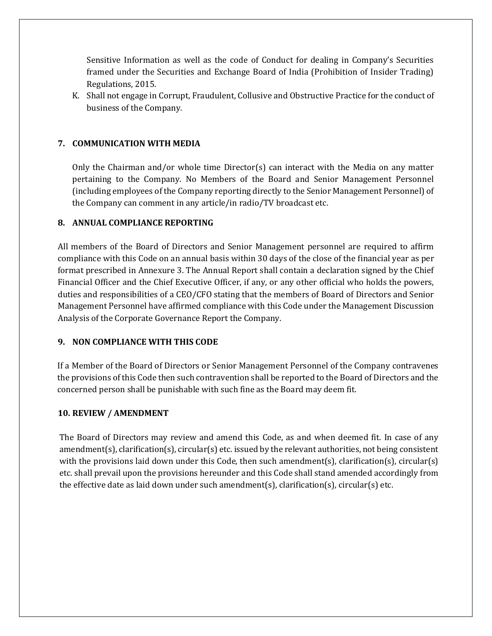Sensitive Information as well as the code of Conduct for dealing in Company's Securities framed under the Securities and Exchange Board of India (Prohibition of Insider Trading) Regulations, 2015.

K. Shall not engage in Corrupt, Fraudulent, Collusive and Obstructive Practice for the conduct of business of the Company.

## **7. COMMUNICATION WITH MEDIA**

Only the Chairman and/or whole time Director(s) can interact with the Media on any matter pertaining to the Company. No Members of the Board and Senior Management Personnel (including employees of the Company reporting directly to the Senior Management Personnel) of the Company can comment in any article/in radio/TV broadcast etc.

#### **8. ANNUAL COMPLIANCE REPORTING**

All members of the Board of Directors and Senior Management personnel are required to affirm compliance with this Code on an annual basis within 30 days of the close of the financial year as per format prescribed in Annexure 3. The Annual Report shall contain a declaration signed by the Chief Financial Officer and the Chief Executive Officer, if any, or any other official who holds the powers, duties and responsibilities of a CEO/CFO stating that the members of Board of Directors and Senior Management Personnel have affirmed compliance with this Code under the Management Discussion Analysis of the Corporate Governance Report the Company.

## **9. NON COMPLIANCE WITH THIS CODE**

If a Member of the Board of Directors or Senior Management Personnel of the Company contravenes the provisions of this Code then such contravention shall be reported to the Board of Directors and the concerned person shall be punishable with such fine as the Board may deem fit.

#### **10. REVIEW / AMENDMENT**

The Board of Directors may review and amend this Code, as and when deemed fit. In case of any amendment(s), clarification(s), circular(s) etc. issued by the relevant authorities, not being consistent with the provisions laid down under this Code, then such amendment(s), clarification(s), circular(s) etc. shall prevail upon the provisions hereunder and this Code shall stand amended accordingly from the effective date as laid down under such amendment(s), clarification(s), circular(s) etc.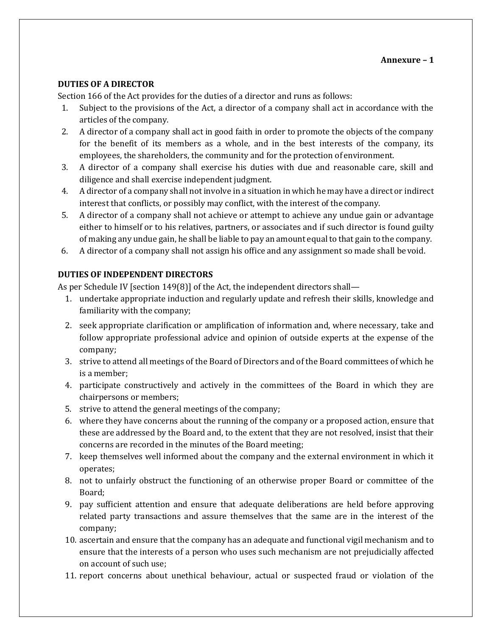# **DUTIES OF A DIRECTOR**

Section 166 of the Act provides for the duties of a director and runs as follows:

- 1. Subject to the provisions of the Act, a director of a company shall act in accordance with the articles of the company.
- 2. A director of a company shall act in good faith in order to promote the objects of the company for the benefit of its members as a whole, and in the best interests of the company, its employees, the shareholders, the community and for the protection of environment.
- 3. A director of a company shall exercise his duties with due and reasonable care, skill and diligence and shall exercise independent judgment.
- 4. A director of a company shall not involve in a situation in which he may have a direct or indirect interest that conflicts, or possibly may conflict, with the interest of the company.
- 5. A director of a company shall not achieve or attempt to achieve any undue gain or advantage either to himself or to his relatives, partners, or associates and if such director is found guilty of making any undue gain, he shall be liable to pay an amount equalto that gain to the company.
- 6. A director of a company shall not assign his office and any assignment so made shall bevoid.

## **DUTIES OF INDEPENDENT DIRECTORS**

As per Schedule IV [section 149(8)] of the Act, the independent directors shall—

- 1. undertake appropriate induction and regularly update and refresh their skills, knowledge and familiarity with the company;
- 2. seek appropriate clarification or amplification of information and, where necessary, take and follow appropriate professional advice and opinion of outside experts at the expense of the company;
- 3. strive to attend all meetings of the Board of Directors and of the Board committees of which he is a member;
- 4. participate constructively and actively in the committees of the Board in which they are chairpersons or members;
- 5. strive to attend the general meetings of the company;
- 6. where they have concerns about the running of the company or a proposed action, ensure that these are addressed by the Board and, to the extent that they are not resolved, insist that their concerns are recorded in the minutes of the Board meeting;
- 7. keep themselves well informed about the company and the external environment in which it operates;
- 8. not to unfairly obstruct the functioning of an otherwise proper Board or committee of the Board;
- 9. pay sufficient attention and ensure that adequate deliberations are held before approving related party transactions and assure themselves that the same are in the interest of the company;
- 10. ascertain and ensure that the company has an adequate and functional vigil mechanism and to ensure that the interests of a person who uses such mechanism are not prejudicially affected on account of such use;
- 11. report concerns about unethical behaviour, actual or suspected fraud or violation of the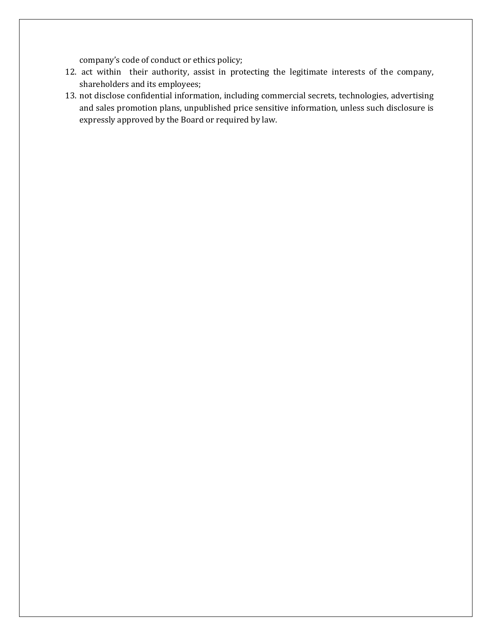company's code of conduct or ethics policy;

- 12. act within their authority, assist in protecting the legitimate interests of the company, shareholders and its employees;
- 13. not disclose confidential information, including commercial secrets, technologies, advertising and sales promotion plans, unpublished price sensitive information, unless such disclosure is expressly approved by the Board or required by law.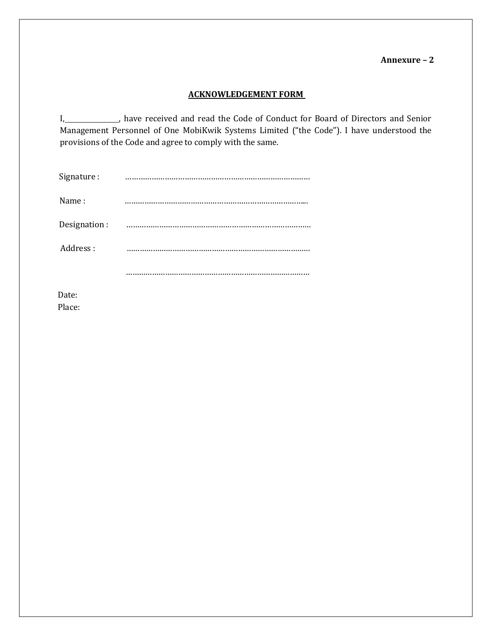#### **Annexure – 2**

# **ACKNOWLEDGEMENT FORM**

I, have received and read the Code of Conduct for Board of Directors and Senior Management Personnel of One MobiKwik Systems Limited ("the Code"). I have understood the provisions of the Code and agree to comply with the same.

| Signature:   |  |
|--------------|--|
| Name:        |  |
| Designation: |  |
| Address:     |  |
|              |  |

Date: Place: